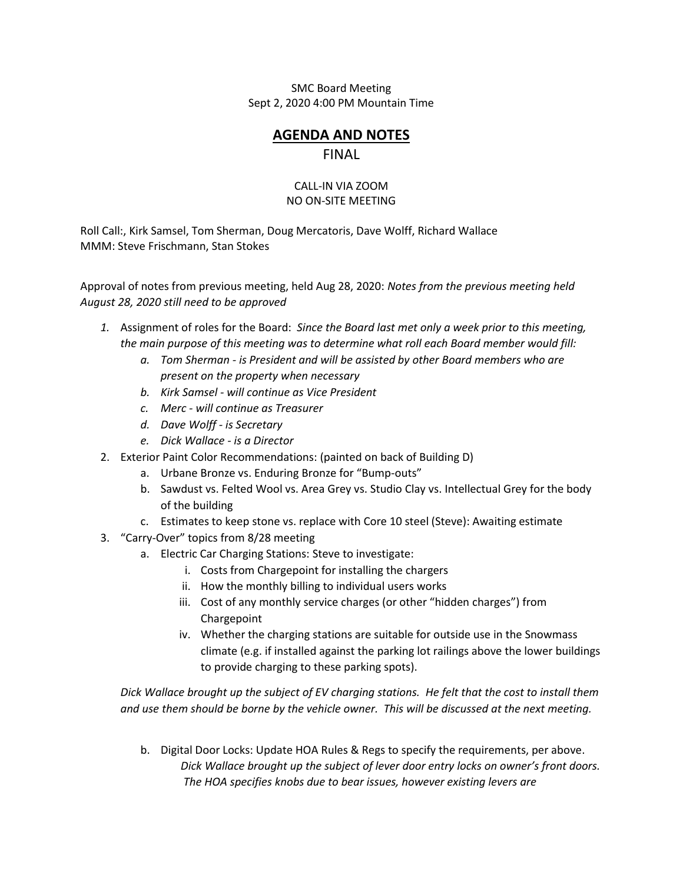SMC Board Meeting Sept 2, 2020 4:00 PM Mountain Time

## **AGENDA AND NOTES** FINAL

## CALL-IN VIA ZOOM NO ON-SITE MEETING

Roll Call:, Kirk Samsel, Tom Sherman, Doug Mercatoris, Dave Wolff, Richard Wallace MMM: Steve Frischmann, Stan Stokes

Approval of notes from previous meeting, held Aug 28, 2020: *Notes from the previous meeting held August 28, 2020 still need to be approved*

- *1.* Assignment of roles for the Board: *Since the Board last met only a week prior to this meeting, the main purpose of this meeting was to determine what roll each Board member would fill:*
	- *a. Tom Sherman - is President and will be assisted by other Board members who are present on the property when necessary*
	- *b. Kirk Samsel - will continue as Vice President*
	- *c. Merc - will continue as Treasurer*
	- *d. Dave Wolff - is Secretary*
	- *e. Dick Wallace - is a Director*
- 2. Exterior Paint Color Recommendations: (painted on back of Building D)
	- a. Urbane Bronze vs. Enduring Bronze for "Bump-outs"
	- b. Sawdust vs. Felted Wool vs. Area Grey vs. Studio Clay vs. Intellectual Grey for the body of the building
	- c. Estimates to keep stone vs. replace with Core 10 steel (Steve): Awaiting estimate
- 3. "Carry-Over" topics from 8/28 meeting
	- a. Electric Car Charging Stations: Steve to investigate:
		- i. Costs from Chargepoint for installing the chargers
		- ii. How the monthly billing to individual users works
		- iii. Cost of any monthly service charges (or other "hidden charges") from Chargepoint
		- iv. Whether the charging stations are suitable for outside use in the Snowmass climate (e.g. if installed against the parking lot railings above the lower buildings to provide charging to these parking spots).

*Dick Wallace brought up the subject of EV charging stations. He felt that the cost to install them and use them should be borne by the vehicle owner. This will be discussed at the next meeting.*

b. Digital Door Locks: Update HOA Rules & Regs to specify the requirements, per above. *Dick Wallace brought up the subject of lever door entry locks on owner's front doors. The HOA specifies knobs due to bear issues, however existing levers are*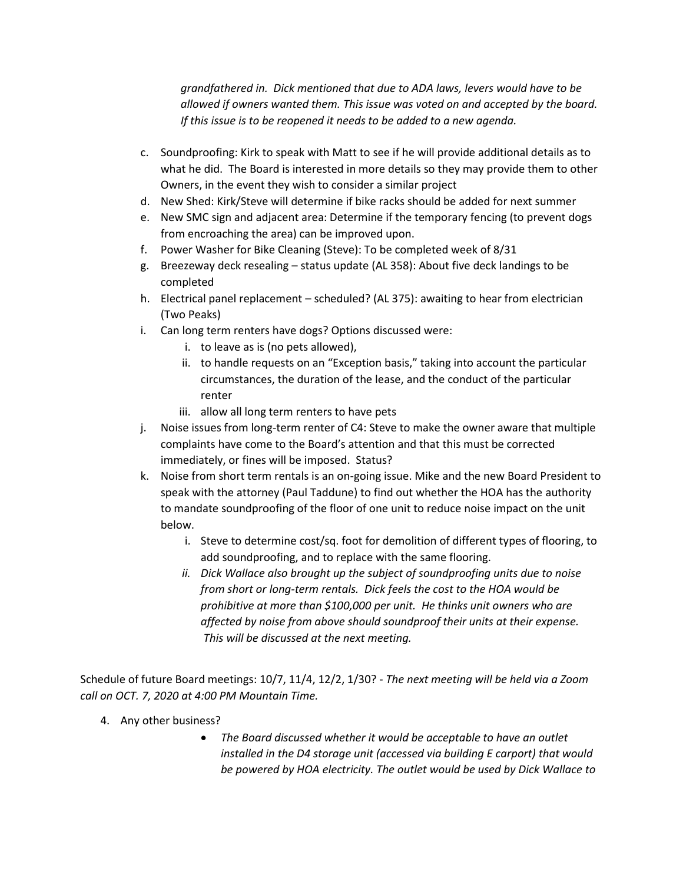*grandfathered in. Dick mentioned that due to ADA laws, levers would have to be allowed if owners wanted them. This issue was voted on and accepted by the board. If this issue is to be reopened it needs to be added to a new agenda.*

- c. Soundproofing: Kirk to speak with Matt to see if he will provide additional details as to what he did. The Board is interested in more details so they may provide them to other Owners, in the event they wish to consider a similar project
- d. New Shed: Kirk/Steve will determine if bike racks should be added for next summer
- e. New SMC sign and adjacent area: Determine if the temporary fencing (to prevent dogs from encroaching the area) can be improved upon.
- f. Power Washer for Bike Cleaning (Steve): To be completed week of 8/31
- g. Breezeway deck resealing status update (AL 358): About five deck landings to be completed
- h. Electrical panel replacement scheduled? (AL 375): awaiting to hear from electrician (Two Peaks)
- i. Can long term renters have dogs? Options discussed were:
	- i. to leave as is (no pets allowed),
	- ii. to handle requests on an "Exception basis," taking into account the particular circumstances, the duration of the lease, and the conduct of the particular renter
	- iii. allow all long term renters to have pets
- j. Noise issues from long-term renter of C4: Steve to make the owner aware that multiple complaints have come to the Board's attention and that this must be corrected immediately, or fines will be imposed. Status?
- k. Noise from short term rentals is an on-going issue. Mike and the new Board President to speak with the attorney (Paul Taddune) to find out whether the HOA has the authority to mandate soundproofing of the floor of one unit to reduce noise impact on the unit below.
	- i. Steve to determine cost/sq. foot for demolition of different types of flooring, to add soundproofing, and to replace with the same flooring.
	- *ii. Dick Wallace also brought up the subject of soundproofing units due to noise from short or long-term rentals. Dick feels the cost to the HOA would be prohibitive at more than \$100,000 per unit. He thinks unit owners who are affected by noise from above should soundproof their units at their expense. This will be discussed at the next meeting.*

Schedule of future Board meetings: 10/7, 11/4, 12/2, 1/30? - *The next meeting will be held via a Zoom call on OCT. 7, 2020 at 4:00 PM Mountain Time.*

- 4. Any other business?
	- *The Board discussed whether it would be acceptable to have an outlet installed in the D4 storage unit (accessed via building E carport) that would be powered by HOA electricity. The outlet would be used by Dick Wallace to*